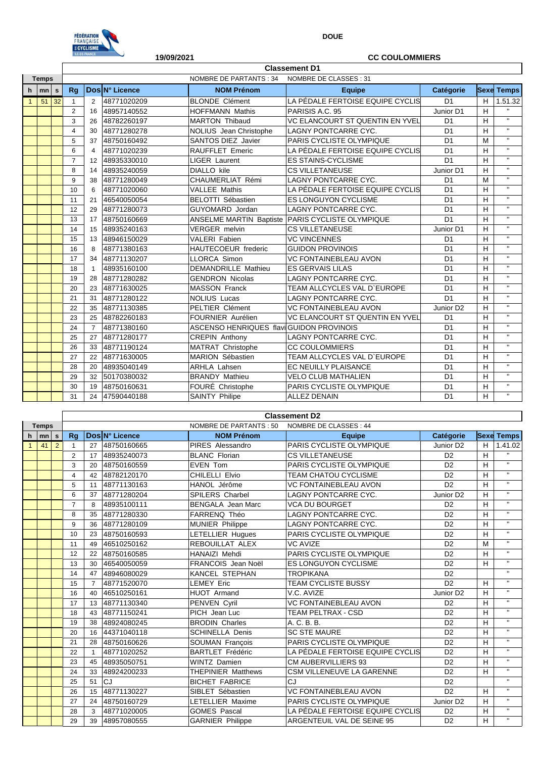

**DOUE**

|              |         |                 | ILE-DE-FRANCE<br>19/09/2021 |                      |                |                                          | <b>CC COULOMMIERS</b>                  |                       |    |                    |  |  |  |  |
|--------------|---------|-----------------|-----------------------------|----------------------|----------------|------------------------------------------|----------------------------------------|-----------------------|----|--------------------|--|--|--|--|
|              |         |                 |                             | <b>Classement D1</b> |                |                                          |                                        |                       |    |                    |  |  |  |  |
| <b>Temps</b> |         |                 |                             |                      |                | <b>NOMBRE DE PARTANTS: 34</b>            | NOMBRE DE CLASSES: 31                  |                       |    |                    |  |  |  |  |
| h.           | $m n$ s |                 | Rq                          |                      | Dos N° Licence | <b>NOM Prénom</b>                        | <b>Equipe</b>                          | Catégorie             |    | <b>Sexe Temps</b>  |  |  |  |  |
| $\mathbf{1}$ | 51      | $\overline{32}$ | $\mathbf{1}$                | 2                    | 48771020209    | <b>BLONDE</b> Clément                    | LA PÉDALE FERTOISE EQUIPE CYCLIS       | D <sub>1</sub>        | H  | 1.51.32            |  |  |  |  |
|              |         |                 | $\overline{2}$              | 16                   | 48957140552    | <b>HOFFMANN Mathis</b>                   | PARISIS A.C. 95                        | Junior D1             | H  | $\mathbf{H}$       |  |  |  |  |
|              |         |                 | 3                           | 26                   | 48782260197    | <b>MARTON Thibaud</b>                    | VC ELANCOURT ST QUENTIN EN YVEL        | D <sub>1</sub>        | н  | $\mathbf{H}$       |  |  |  |  |
|              |         |                 | 4                           | 30                   | 48771280278    | <b>NOLIUS</b> Jean Christophe            | <b>LAGNY PONTCARRE CYC.</b>            | D <sub>1</sub>        | H  | $\mathbf{H}$       |  |  |  |  |
|              |         |                 | 5                           | 37                   | 48750160492    | <b>SANTOS DIEZ Javier</b>                | PARIS CYCLISTE OLYMPIQUE               | D <sub>1</sub>        | M  | $\mathbf{H}$       |  |  |  |  |
|              |         |                 | 6                           | $\overline{4}$       | 48771020239    | <b>RAUFFLET Emeric</b>                   | LA PÉDALE FERTOISE EQUIPE CYCLIS       | D <sub>1</sub>        | н  | $\mathbf{H}$       |  |  |  |  |
|              |         |                 | $\overline{7}$              | 12                   | 48935330010    | <b>LIGER Laurent</b>                     | <b>ES STAINS-CYCLISME</b>              | D <sub>1</sub>        | н  | $\mathbf{H}$       |  |  |  |  |
|              |         |                 | 8                           | 14                   | 48935240059    | <b>DIALLO</b> kile                       | <b>CS VILLETANEUSE</b>                 | Junior D1             | н  | $\mathbf{H}$       |  |  |  |  |
|              |         |                 | 9                           | 38                   | 48771280049    | CHAUMERLIAT Rémi                         | <b>LAGNY PONTCARRE CYC.</b>            | D <sub>1</sub>        | M  | $\mathbf{H}$       |  |  |  |  |
|              |         |                 | 10                          | 6                    | 48771020060    | <b>VALLEE Mathis</b>                     | LA PÉDALE FERTOISE EQUIPE CYCLIS       | D <sub>1</sub>        | Н  | $\bar{\mathbf{H}}$ |  |  |  |  |
|              |         |                 | 11                          | 21                   | 46540050054    | BELOTTI Sébastien                        | <b>ES LONGUYON CYCLISME</b>            | D <sub>1</sub>        | H  | $\mathbf{H}$       |  |  |  |  |
|              |         |                 | 12                          | 29                   | 48771280073    | GUYOMARD Jordan                          | <b>LAGNY PONTCARRE CYC.</b>            | D <sub>1</sub>        | Н  | $\mathbf{H}$       |  |  |  |  |
|              |         |                 | 13                          | 17                   | 48750160669    | <b>ANSELME MARTIN Baptiste</b>           | <b>PARIS CYCLISTE OLYMPIQUE</b>        | D <sub>1</sub>        | н  | $\mathbf{H}$       |  |  |  |  |
|              |         |                 | 14                          | 15                   | 48935240163    | <b>VERGER</b> melvin                     | <b>CS VILLETANEUSE</b>                 | Junior D1             | н  | $\mathbf{H}$       |  |  |  |  |
|              |         |                 | 15                          | 13                   | 48946150029    | <b>VALERI Fabien</b>                     | <b>VC VINCENNES</b>                    | D <sub>1</sub>        | Н  | $\mathbf{H}$       |  |  |  |  |
|              |         |                 | 16                          | 8                    | 48771380163    | <b>HAUTECOEUR</b> frederic               | <b>GUIDON PROVINOIS</b>                | D <sub>1</sub>        | н  | $\mathbf{H}$       |  |  |  |  |
|              |         |                 | 17                          | 34                   | 48771130207    | <b>LLORCA Simon</b>                      | <b>VC FONTAINEBLEAU AVON</b>           | D <sub>1</sub>        | H  | $\mathbf{H}$       |  |  |  |  |
|              |         |                 | 18                          | $\overline{1}$       | 48935160100    | <b>DEMANDRILLE Mathieu</b>               | <b>ES GERVAIS LILAS</b>                | D <sub>1</sub>        | н  | $\bar{\mathbf{u}}$ |  |  |  |  |
|              |         |                 | 19                          | 28                   | 48771280282    | <b>GENDRON Nicolas</b>                   | LAGNY PONTCARRE CYC.                   | D <sub>1</sub>        | H  | $\mathbf{H}$       |  |  |  |  |
|              |         |                 | 20                          | 23                   | 48771630025    | MASSON Franck                            | TEAM ALLCYCLES VAL D'EUROPE            | D <sub>1</sub>        | H  | $\mathbf{H}$       |  |  |  |  |
|              |         |                 | 21                          | 31                   | 48771280122    | <b>NOLIUS Lucas</b>                      | <b>LAGNY PONTCARRE CYC.</b>            | D <sub>1</sub>        | н  | $\mathbf{H}$       |  |  |  |  |
|              |         |                 | 22                          | 35                   | 48771130385    | <b>PELTIER Clément</b>                   | <b>VC FONTAINEBLEAU AVON</b>           | Junior D <sub>2</sub> | H  | $\mathbf{H}$       |  |  |  |  |
|              |         |                 | 23                          | 25                   | 48782260183    | <b>FOURNIER Aurélien</b>                 | <b>VC ELANCOURT ST QUENTIN EN YVEL</b> | D <sub>1</sub>        | н  | $\mathbf{H}$       |  |  |  |  |
|              |         |                 | 24                          | $\overline{7}$       | 48771380160    | ASCENSO HENRIQUES flavilGUIDON PROVINOIS |                                        | D <sub>1</sub>        | н  | $\mathbf{H}$       |  |  |  |  |
|              |         |                 | 25                          | 27                   | 48771280177    | <b>CREPIN Anthony</b>                    | LAGNY PONTCARRE CYC.                   | D <sub>1</sub>        | н  | $\mathbf{H}$       |  |  |  |  |
|              |         |                 | 26                          | 33                   | 48771190124    | MATRAT Christophe                        | <b>CC COULOMMIERS</b>                  | D <sub>1</sub>        | н  | $\mathbf{H}$       |  |  |  |  |
|              |         |                 | 27                          | 22                   | 48771630005    | MARION Sébastien                         | TEAM ALLCYCLES VAL D'EUROPE            | D <sub>1</sub>        | H  | $\mathbf{H}$       |  |  |  |  |
|              |         |                 | 28                          | 20                   | 48935040149    | <b>ARHLA Lahsen</b>                      | EC NEUILLY PLAISANCE                   | D <sub>1</sub>        | н  | $\mathbf{H}$       |  |  |  |  |
|              |         |                 | 29                          | 32                   | 50170380032    | <b>BRANDY Mathieu</b>                    | <b>VELO CLUB MATHALIEN</b>             | D <sub>1</sub>        | н  | $\mathbf{H}$       |  |  |  |  |
|              |         |                 | 30                          | 19                   | 48750160631    | FOURÉ Christophe                         | PARIS CYCLISTE OLYMPIQUE               | D <sub>1</sub>        | H  | $\mathbf{H}$       |  |  |  |  |
|              |         |                 | 31                          | 24                   | 47590440188    | <b>SAINTY Philipe</b>                    | <b>ALLEZ DENAIN</b>                    | D <sub>1</sub>        | H. | $\mathbf{H}$       |  |  |  |  |

|              |      |                                                  | <b>Classement D2</b> |                |                |                           |                                  |                       |   |                   |  |  |
|--------------|------|--------------------------------------------------|----------------------|----------------|----------------|---------------------------|----------------------------------|-----------------------|---|-------------------|--|--|
| <b>Temps</b> |      | NOMBRE DE PARTANTS : 50<br>NOMBRE DE CLASSES: 44 |                      |                |                |                           |                                  |                       |   |                   |  |  |
| h.           | mn s |                                                  | Rq                   |                | Dos N° Licence | <b>NOM Prénom</b>         | <b>Equipe</b>                    | Catégorie             |   | <b>Sexe Temps</b> |  |  |
| $\mathbf{1}$ | 41   | $\overline{2}$                                   | $\mathbf{1}$         | 27             | 48750160665    | <b>PIRES Alessandro</b>   | PARIS CYCLISTE OLYMPIQUE         | Junior D <sub>2</sub> | н | 1.41.02           |  |  |
|              |      |                                                  | $\overline{2}$       | 17             | 48935240073    | <b>BLANC Florian</b>      | <b>CS VILLETANEUSE</b>           | D <sub>2</sub>        | H | H.                |  |  |
|              |      |                                                  | 3                    | 20             | 48750160559    | <b>EVEN Tom</b>           | PARIS CYCLISTE OLYMPIQUE         | D <sub>2</sub>        | H | $\mathbf{H}$      |  |  |
|              |      |                                                  | 4                    | 42             | 48782120170    | CHILELLI Elvio            | <b>TEAM CHATOU CYCLISME</b>      | D <sub>2</sub>        | H | $\mathbf{H}$      |  |  |
|              |      |                                                  | 5                    | 11             | 48771130163    | HANOL Jérôme              | <b>VC FONTAINEBLEAU AVON</b>     | D <sub>2</sub>        | H | $\mathbf{H}$      |  |  |
|              |      |                                                  | 6                    | 37             | 48771280204    | <b>SPILERS Charbel</b>    | LAGNY PONTCARRE CYC.             | Junior D <sub>2</sub> | н | $\mathbf{H}$      |  |  |
|              |      |                                                  | $\overline{7}$       | 8              | 48935100111    | <b>BENGALA</b> Jean Marc  | <b>VCA DU BOURGET</b>            | D <sub>2</sub>        | н | $\mathbf{H}$      |  |  |
|              |      |                                                  | 8                    | 35             | 48771280330    | FARRENQ Théo              | <b>LAGNY PONTCARRE CYC.</b>      | D <sub>2</sub>        | H | $\mathbf{H}$      |  |  |
|              |      |                                                  | 9                    | 36             | 48771280109    | <b>MUNIER Philippe</b>    | <b>LAGNY PONTCARRE CYC.</b>      | D <sub>2</sub>        | н | $\mathbf{H}$      |  |  |
|              |      |                                                  | 10                   | 23             | 48750160593    | LETELLIER Hugues          | <b>PARIS CYCLISTE OLYMPIQUE</b>  | D <sub>2</sub>        | H | $\mathbf{H}$      |  |  |
|              |      |                                                  | 11                   | 49             | 46510250162    | REBOUILLAT ALEX           | <b>VC AVIZE</b>                  | D <sub>2</sub>        | M | $\mathbf{H}$      |  |  |
|              |      |                                                  | 12                   | 22             | 48750160585    | <b>HANAIZI Mehdi</b>      | PARIS CYCLISTE OLYMPIQUE         | D <sub>2</sub>        | н | $\mathbf{H}$      |  |  |
|              |      |                                                  | 13                   | 30             | 46540050059    | FRANCOIS Jean Noël        | <b>ES LONGUYON CYCLISME</b>      | D <sub>2</sub>        | H | $\mathbf{H}$      |  |  |
|              |      |                                                  | 14                   | 47             | 48946080029    | <b>KANCEL STEPHAN</b>     | <b>TROPIKANA</b>                 | D <sub>2</sub>        |   | $\mathbf{H}$      |  |  |
|              |      |                                                  | 15                   | $\overline{7}$ | 48771520070    | <b>LEMEY Eric</b>         | TEAM CYCLISTE BUSSY              | D <sub>2</sub>        | н | $\mathbf{H}$      |  |  |
|              |      |                                                  | 16                   | 40             | 46510250161    | <b>HUOT</b> Armand        | V.C. AVIZE                       | Junior D <sub>2</sub> | H | $\mathbf{H}$      |  |  |
|              |      |                                                  | 17                   | 13             | 48771130340    | PENVEN Cyril              | <b>VC FONTAINEBLEAU AVON</b>     | D <sub>2</sub>        | н | $\mathbf{H}$      |  |  |
|              |      |                                                  | 18                   | 43             | 48771150241    | PICH Jean Luc             | <b>TEAM PELTRAX - CSD</b>        | D <sub>2</sub>        | н | $\mathbf{H}$      |  |  |
|              |      |                                                  | 19                   | 38             | 48924080245    | <b>BRODIN Charles</b>     | A. C. B. B.                      | D <sub>2</sub>        | Н | $\mathbf{H}$      |  |  |
|              |      |                                                  | 20                   | 16             | 44371040118    | <b>SCHINELLA Denis</b>    | <b>SC STE MAURE</b>              | D <sub>2</sub>        | н | $\mathbf{H}$      |  |  |
|              |      |                                                  | 21                   | 28             | 48750160626    | <b>SOUMAN Francois</b>    | PARIS CYCLISTE OLYMPIQUE         | D <sub>2</sub>        | H | $\mathbf{H}$      |  |  |
|              |      |                                                  | 22                   | $\overline{1}$ | 48771020252    | <b>BARTLET Frédéric</b>   | LA PÉDALE FERTOISE EQUIPE CYCLIS | D <sub>2</sub>        | н | $\mathbf{H}$      |  |  |
|              |      |                                                  | 23                   | 45             | 48935050751    | <b>WINTZ Damien</b>       | <b>CM AUBERVILLIERS 93</b>       | D <sub>2</sub>        | H | $\mathbf{H}$      |  |  |
|              |      |                                                  | 24                   | 33             | 48924200233    | <b>THEPINIER Matthews</b> | <b>CSM VILLENEUVE LA GARENNE</b> | D <sub>2</sub>        | н | $\mathbf{H}$      |  |  |
|              |      |                                                  | 25                   | 51             | CJ             | <b>BICHET FABRICE</b>     | CJ                               | D <sub>2</sub>        |   | $\mathbf{H}$      |  |  |
|              |      |                                                  | 26                   | 15             | 48771130227    | SIBLET Sébastien          | <b>VC FONTAINEBLEAU AVON</b>     | D <sub>2</sub>        | н | $\mathbf{H}$      |  |  |
|              |      |                                                  | 27                   | 24             | 48750160729    | LETELLIER Maxime          | PARIS CYCLISTE OLYMPIQUE         | Junior D <sub>2</sub> | H | $\mathbf{H}$      |  |  |
|              |      |                                                  | 28                   | 3              | 48771020005    | <b>GOMES Pascal</b>       | LA PÉDALE FERTOISE EQUIPE CYCLIS | D <sub>2</sub>        | н | $\mathbf{H}$      |  |  |
|              |      |                                                  | 29                   | 39             | 48957080555    | <b>GARNIER Philippe</b>   | ARGENTEUIL VAL DE SEINE 95       | D <sub>2</sub>        | н | $\mathbf{H}$      |  |  |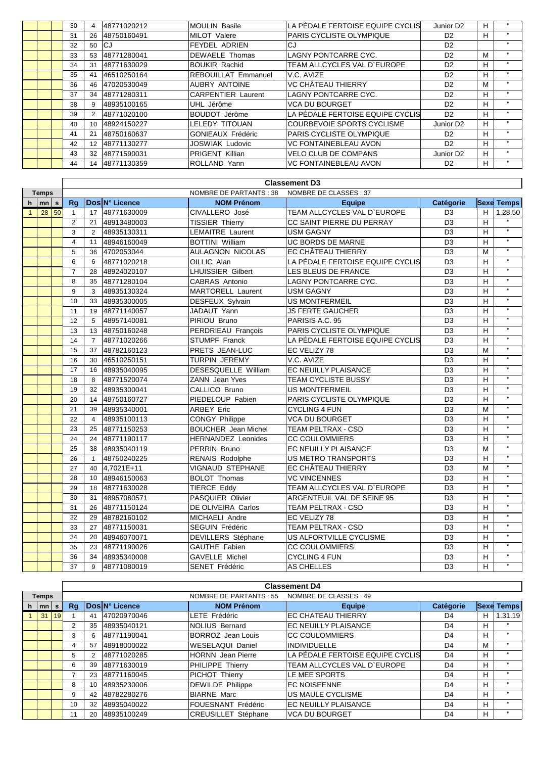|  | 30 | 4              | 48771020212 | <b>MOULIN Basile</b>       | ILA PÉDALE FERTOISE EQUIPE CYCLIS | Junior D <sub>2</sub> | H | $\mathbf{H}$ |
|--|----|----------------|-------------|----------------------------|-----------------------------------|-----------------------|---|--------------|
|  | 31 | 26             | 48750160491 | MILOT Valere               | PARIS CYCLISTE OLYMPIQUE          | D <sub>2</sub>        | H | $\mathbf{H}$ |
|  | 32 | 50             | <b>ICJ</b>  | <b>FEYDEL ADRIEN</b>       | CJ                                | D <sub>2</sub>        |   | н.           |
|  | 33 | 53             | 48771280041 | <b>DEWAELE Thomas</b>      | ILAGNY PONTCARRE CYC.             | D <sub>2</sub>        | M | $\mathbf{H}$ |
|  | 34 | 31             | 48771630029 | <b>BOUKIR Rachid</b>       | TEAM ALLCYCLES VAL D'EUROPE       | D <sub>2</sub>        | H | $\mathbf{H}$ |
|  | 35 | 41             | 46510250164 | <b>REBOUILLAT Emmanuel</b> | IV.C. AVIZE                       | D <sub>2</sub>        | H | $\mathbf{H}$ |
|  | 36 | 46             | 47020530049 | <b>AUBRY ANTOINE</b>       | VC CHÂTEAU THIERRY                | D <sub>2</sub>        | M | $\mathbf{H}$ |
|  | 37 | 34             | 48771280311 | <b>CARPENTIER Laurent</b>  | ILAGNY PONTCARRE CYC.             | D <sub>2</sub>        | H | $\mathbf{H}$ |
|  | 38 | 9              | 48935100165 | UHL Jérôme                 | <b>VCA DU BOURGET</b>             | D <sub>2</sub>        | H | $\mathbf{H}$ |
|  | 39 | $\overline{2}$ | 48771020100 | BOUDOT Jérôme              | ILA PÉDALE FERTOISE EQUIPE CYCLIS | D <sub>2</sub>        | H | $\mathbf{H}$ |
|  | 40 | 10             | 48924150227 | LELEDY TITOUAN             | COURBEVOIE SPORTS CYCLISME        | Junior D <sub>2</sub> | H |              |
|  | 41 | 21             | 48750160637 | <b>GONIEAUX Frédéric</b>   | PARIS CYCLISTE OLYMPIQUE          | D <sub>2</sub>        | H | $\mathbf{H}$ |
|  | 42 | 12             | 48771130277 | <b>JOSWIAK Ludovic</b>     | <b>VC FONTAINEBLEAU AVON</b>      | D <sub>2</sub>        | H | $\mathbf{H}$ |
|  | 43 | 32             | 48771590031 | <b>PRIGENT Killian</b>     | <b>VELO CLUB DE COMPANS</b>       | Junior D <sub>2</sub> | H | $\mathbf{H}$ |
|  | 44 | 14             | 48771130359 | ROLLAND Yann               | <b>VC FONTAINEBLEAU AVON</b>      | D <sub>2</sub>        | H | п.           |

|              |              |    | <b>Classement D3</b>                                    |                |                |                            |                                  |                |             |              |  |  |
|--------------|--------------|----|---------------------------------------------------------|----------------|----------------|----------------------------|----------------------------------|----------------|-------------|--------------|--|--|
|              | <b>Temps</b> |    | <b>NOMBRE DE PARTANTS: 38</b><br>NOMBRE DE CLASSES : 37 |                |                |                            |                                  |                |             |              |  |  |
| $\mathbf h$  | m n          |    | Rq                                                      |                | Dos N° Licence | <b>NOM Prénom</b>          | <b>Equipe</b>                    | Catégorie      | <b>Sexe</b> | <b>Temps</b> |  |  |
| $\mathbf{1}$ | 28           | 50 | $\mathbf{1}$                                            | 17             | 48771630009    | CIVALLERO José             | TEAM ALLCYCLES VAL D'EUROPE      | D <sub>3</sub> | H           | 1.28.50      |  |  |
|              |              |    | $\overline{2}$                                          | 21             | 48913480003    | <b>TISSIER Thierry</b>     | CC SAINT PIERRE DU PERRAY        | D <sub>3</sub> | H           | $\mathbf{u}$ |  |  |
|              |              |    | 3                                                       | $\overline{2}$ | 48935130311    | LEMAITRE Laurent           | <b>USM GAGNY</b>                 | D <sub>3</sub> | H           | $\mathbf{H}$ |  |  |
|              |              |    | $\overline{4}$                                          | 11             | 48946160049    | <b>BOTTINI William</b>     | UC BORDS DE MARNE                | D <sub>3</sub> | H           | $\mathbf{H}$ |  |  |
|              |              |    | 5                                                       | 36             | 4702053044     | <b>AULAGNON NICOLAS</b>    | EC CHÂTEAU THIERRY               | D <sub>3</sub> | M           | $\mathbf{H}$ |  |  |
|              |              |    | 6                                                       | 6              | 48771020218    | OILLIC Alan                | LA PÉDALE FERTOISE EQUIPE CYCLIS | D <sub>3</sub> | H           | $\mathbf{H}$ |  |  |
|              |              |    | $\overline{7}$                                          | 28             | 48924020107    | <b>LHUISSIER Gilbert</b>   | LES BLEUS DE FRANCE              | D <sub>3</sub> | H           | $\mathbf{H}$ |  |  |
|              |              |    | 8                                                       | 35             | 48771280104    | CABRAS Antonio             | LAGNY PONTCARRE CYC.             | D <sub>3</sub> | H           | $\mathbf{H}$ |  |  |
|              |              |    | 9                                                       | 3              | 48935130324    | MARTORELL Laurent          | <b>USM GAGNY</b>                 | D <sub>3</sub> | H           | $\mathbf{H}$ |  |  |
|              |              |    | 10                                                      | 33             | 48935300005    | <b>DESFEUX Sylvain</b>     | US MONTFERMEIL                   | D <sub>3</sub> | H           | $\mathbf{H}$ |  |  |
|              |              |    | 11                                                      | 19             | 48771140057    | JADAUT Yann                | <b>JS FERTE GAUCHER</b>          | D <sub>3</sub> | H           | $\mathbf{H}$ |  |  |
|              |              |    | 12                                                      | 5              | 48957140081    | PIRIOU Bruno               | PARISIS A.C. 95                  | D <sub>3</sub> | H           | $\mathbf{H}$ |  |  |
|              |              |    | 13                                                      | 13             | 48750160248    | PERDRIEAU François         | PARIS CYCLISTE OLYMPIQUE         | D <sub>3</sub> | H           | $\mathbf{H}$ |  |  |
|              |              |    | 14                                                      | $\overline{7}$ | 48771020266    | STUMPF Franck              | LA PÉDALE FERTOISE EQUIPE CYCLIS | D <sub>3</sub> | H           | $\mathbf{H}$ |  |  |
|              |              |    | 15                                                      | 37             | 48782160123    | <b>PRETS JEAN-LUC</b>      | EC VELIZY 78                     | D <sub>3</sub> | M           | $\mathbf{H}$ |  |  |
|              |              |    | 16                                                      | 30             | 46510250151    | <b>TURPIN JEREMY</b>       | V.C. AVIZE                       | D <sub>3</sub> | н           | $\mathbf{H}$ |  |  |
|              |              |    | 17                                                      | 16             | 48935040095    | DESESQUELLE William        | EC NEUILLY PLAISANCE             | D <sub>3</sub> | H           | $\mathbf{H}$ |  |  |
|              |              |    | 18                                                      | 8              | 48771520074    | ZANN Jean Yves             | TEAM CYCLISTE BUSSY              | D <sub>3</sub> | H           | $\mathbf{H}$ |  |  |
|              |              |    | 19                                                      | 32             | 48935300041    | CALLICO Bruno              | <b>US MONTFERMEIL</b>            | D <sub>3</sub> | H           | $\mathbf{H}$ |  |  |
|              |              |    | 20                                                      | 14             | 48750160727    | PIEDELOUP Fabien           | PARIS CYCLISTE OLYMPIQUE         | D <sub>3</sub> | H           | $\mathbf{H}$ |  |  |
|              |              |    | 21                                                      | 39             | 48935340001    | <b>ARBEY Eric</b>          | <b>CYCLING 4 FUN</b>             | D <sub>3</sub> | M           | $\mathbf{H}$ |  |  |
|              |              |    | 22                                                      | $\overline{4}$ | 48935100113    | CONGY Philippe             | <b>VCA DU BOURGET</b>            | D <sub>3</sub> | H           | $\mathbf{H}$ |  |  |
|              |              |    | 23                                                      | 25             | 48771150253    | <b>BOUCHER</b> Jean Michel | <b>TEAM PELTRAX - CSD</b>        | D <sub>3</sub> | H           | $\mathbf{H}$ |  |  |
|              |              |    | 24                                                      | 24             | 48771190117    | <b>HERNANDEZ Leonides</b>  | <b>CC COULOMMIERS</b>            | D <sub>3</sub> | H           | $\mathbf{H}$ |  |  |
|              |              |    | 25                                                      | 38             | 48935040119    | PERRIN Bruno               | EC NEUILLY PLAISANCE             | D <sub>3</sub> | M           | $\mathbf{H}$ |  |  |
|              |              |    | 26                                                      | $\overline{1}$ | 48750240225    | RENAIS Rodolphe            | US METRO TRANSPORTS              | D <sub>3</sub> | H           | $\mathbf{H}$ |  |  |
|              |              |    | 27                                                      | 40             | 4,7021E+11     | VIGNAUD STEPHANE           | EC CHÂTEAU THIERRY               | D <sub>3</sub> | M           | $\mathbf{H}$ |  |  |
|              |              |    | 28                                                      | 10             | 48946150063    | <b>BOLOT Thomas</b>        | <b>VC VINCENNES</b>              | D <sub>3</sub> | H           | $\mathbf{H}$ |  |  |
|              |              |    | 29                                                      | 18             | 48771630028    | <b>TIERCE Eddy</b>         | TEAM ALLCYCLES VAL D'EUROPE      | D <sub>3</sub> | H           | $\mathbf{H}$ |  |  |
|              |              |    | 30                                                      | 31             | 48957080571    | PASQUIER Olivier           | ARGENTEUIL VAL DE SEINE 95       | D <sub>3</sub> | H           | $\mathbf{H}$ |  |  |
|              |              |    | 31                                                      | 26             | 48771150124    | <b>DE OLIVEIRA Carlos</b>  | TEAM PELTRAX - CSD               | D <sub>3</sub> | H           | $\mathbf{H}$ |  |  |
|              |              |    | 32                                                      | 29             | 48782160102    | MICHAELI Andre             | EC VELIZY 78                     | D <sub>3</sub> | H           | $\mathbf{H}$ |  |  |
|              |              |    | 33                                                      | 27             | 48771150031    | SEGUIN Frédéric            | <b>TEAM PELTRAX - CSD</b>        | D <sub>3</sub> | H           | $\mathbf{H}$ |  |  |
|              |              |    | 34                                                      | 20             | 48946070071    | <b>DEVILLERS</b> Stéphane  | US ALFORTVILLE CYCLISME          | D <sub>3</sub> | H           | $\mathbf{H}$ |  |  |
|              |              |    | 35                                                      | 23             | 48771190026    | GAUTHE Fabien              | <b>CC COULOMMIERS</b>            | D <sub>3</sub> | H           | $\mathbf{H}$ |  |  |
|              |              |    | 36                                                      | 34             | 48935340008    | GAVELLE Michel             | <b>CYCLING 4 FUN</b>             | D <sub>3</sub> | H           | $\mathbf{H}$ |  |  |
|              |              |    | 37                                                      | 9              | 48771080019    | <b>SENET Frédéric</b>      | AS CHELLES                       | D <sub>3</sub> | H.          | $\mathbf{H}$ |  |  |

|              |                      |    |    |    |                |                            | <b>Classement D4</b>             |                |   |                   |
|--------------|----------------------|----|----|----|----------------|----------------------------|----------------------------------|----------------|---|-------------------|
| <b>Temps</b> |                      |    |    |    |                | NOMBRE DE PARTANTS : 55    | NOMBRE DE CLASSES: 49            |                |   |                   |
| h.           | $\vert$ mn $\vert$ s |    | Rq |    | Dos N° Licence | <b>NOM Prénom</b>          | <b>Equipe</b>                    | Catégorie      |   | Sexe Temps        |
|              | 31                   | 19 |    | 41 | 47020970046    | LETE Frédéric              | IEC CHATEAU THIERRY              | D4             | н | 1.31.19           |
|              |                      |    | 2  | 35 | 48935040121    | <b>NOLIUS Bernard</b>      | <b>EC NEUILLY PLAISANCE</b>      | D4             | н | $^{\prime\prime}$ |
|              |                      |    | 3  | 6  | 48771190041    | BORROZ Jean Louis          | <b>CC COULOMMIERS</b>            | D <sub>4</sub> | н | $\mathbf{H}$      |
|              |                      |    | 4  | 57 | 48918000022    | <b>WESELAQUI Daniel</b>    | IINDIVIDUELLE                    | D <sub>4</sub> | M | $\mathbf{H}$      |
|              |                      |    | 5  |    | 48771020285    | HORNN Jean Pierre          | LA PÉDALE FERTOISE EQUIPE CYCLIS | D <sub>4</sub> | н | $\mathbf{H}$      |
|              |                      |    | 6  | 39 | 48771630019    | PHILIPPE Thierry           | TEAM ALLCYCLES VAL D'EUROPE      | D <sub>4</sub> | H | $\mathbf{H}$      |
|              |                      |    |    | 23 | 48771160045    | <b>PICHOT Thierry</b>      | LE MEE SPORTS                    | D <sub>4</sub> | н | $\mathbf{H}$      |
|              |                      |    | 8  | 10 | 48935230006    | <b>DEWILDE</b> Philippe    | <b>EC NOISEENNE</b>              | D <sub>4</sub> | н | $\mathbf{H}$      |
|              |                      |    | 9  | 42 | 48782280276    | <b>BIARNE Marc</b>         | US MAULE CYCLISME                | D <sub>4</sub> | н | $\mathbf{H}$      |
|              |                      |    | 10 | 32 | 48935040022    | FOUESNANT Frédéric         | <b>EC NEUILLY PLAISANCE</b>      | D4             | н | $\mathbf{H}$      |
|              |                      |    | 11 | 20 | 48935100249    | <b>CREUSILLET Stéphane</b> | <b>VCA DU BOURGET</b>            | D <sub>4</sub> | н | $\mathbf{H}$      |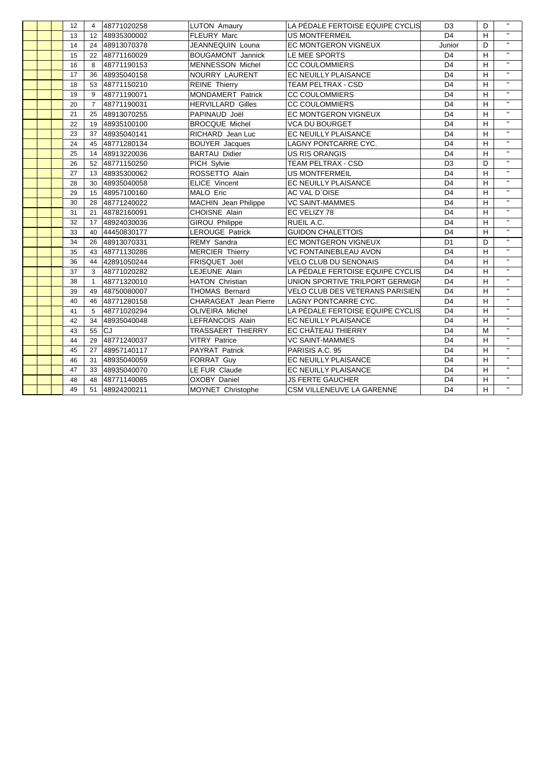|  | 12 | $\overline{4}$ | 48771020258    | <b>LUTON Amaury</b>      | LA PÉDALE FERTOISE EQUIPE CYCLIS       | D <sub>3</sub> | D | $\mathbf{H}$       |
|--|----|----------------|----------------|--------------------------|----------------------------------------|----------------|---|--------------------|
|  | 13 |                | 12 48935300002 | <b>FLEURY Marc</b>       | <b>US MONTFERMEIL</b>                  | D <sub>4</sub> | H | $\mathbf{H}$       |
|  | 14 | 24             | 48913070378    | JEANNEQUIN Louna         | <b>EC MONTGERON VIGNEUX</b>            | Junior         | D | $\mathbf{H}$       |
|  | 15 |                | 22 48771160029 | <b>BOUGAMONT Jannick</b> | LE MEE SPORTS                          | D <sub>4</sub> | H | $\mathbf{H}$       |
|  | 16 | 8              | 48771190153    | <b>MENNESSON Michel</b>  | <b>CC COULOMMIERS</b>                  | D <sub>4</sub> | H | $\mathbf{H}$       |
|  | 17 | 36             | 48935040158    | NOURRY LAURENT           | EC NEUILLY PLAISANCE                   | D <sub>4</sub> | H | $\mathbf{H}$       |
|  | 18 | 53             | 48771150210    | <b>REINE Thierry</b>     | <b>TEAM PELTRAX - CSD</b>              | D <sub>4</sub> | H | $\mathbf{H}$       |
|  | 19 | 9              | 48771190071    | <b>MONDAMERT Patrick</b> | <b>CC COULOMMIERS</b>                  | D <sub>4</sub> | H | $\mathbf{H}$       |
|  | 20 | $\overline{7}$ | 48771190031    | <b>HERVILLARD Gilles</b> | <b>CC COULOMMIERS</b>                  | D <sub>4</sub> | H | $\mathbf{H}$       |
|  | 21 | 25             | 48913070255    | PAPINAUD Joël            | EC MONTGERON VIGNEUX                   | D <sub>4</sub> | H | $\bar{\mathbf{H}}$ |
|  | 22 | 19             | 48935100100    | <b>BROCQUE Michel</b>    | <b>VCA DU BOURGET</b>                  | D <sub>4</sub> | H | $\mathbf{u}$       |
|  | 23 | 37             | 48935040141    | RICHARD Jean Luc         | EC NEUILLY PLAISANCE                   | D <sub>4</sub> | H | $\mathbf{H}$       |
|  | 24 | 45             | 48771280134    | <b>BOUYER</b> Jacques    | LAGNY PONTCARRE CYC.                   | D <sub>4</sub> | H | $\mathbf{H}$       |
|  | 25 | 14             | 48913220036    | <b>BARTAU Didier</b>     | <b>US RIS ORANGIS</b>                  | D <sub>4</sub> | H | $\mathbf{H}$       |
|  | 26 | 52             | 48771150250    | PICH Sylvie              | <b>TEAM PELTRAX - CSD</b>              | D <sub>3</sub> | D | $\mathbf{H}$       |
|  | 27 | 13             | 48935300062    | ROSSETTO Alain           | <b>US MONTFERMEIL</b>                  | D <sub>4</sub> | H | $\mathbf{H}$       |
|  | 28 | 30             | 48935040058    | <b>ELICE Vincent</b>     | EC NEUILLY PLAISANCE                   | D <sub>4</sub> | H | $\mathbf{H}$       |
|  | 29 | 15             | 48957100160    | <b>MALO Eric</b>         | <b>AC VAL D'OISE</b>                   | D <sub>4</sub> | H | $\mathbf{H}$       |
|  | 30 | 28             | 48771240022    | MACHIN Jean Philippe     | <b>VC SAINT-MAMMES</b>                 | D <sub>4</sub> | H | $\mathbf{H}$       |
|  | 31 | 21             | 48782160091    | <b>CHOISNE Alain</b>     | EC VELIZY 78                           | D <sub>4</sub> | H | $\mathbf{H}$       |
|  | 32 | 17             | 48924030036    | <b>GIROU Philippe</b>    | RUEIL A.C.                             | D <sub>4</sub> | H | $\mathbf{H}$       |
|  | 33 | 40             | 44450830177    | <b>LEROUGE Patrick</b>   | <b>GUIDON CHALETTOIS</b>               | D <sub>4</sub> | H |                    |
|  | 34 | 26             | 48913070331    | <b>REMY Sandra</b>       | EC MONTGERON VIGNEUX                   | D <sub>1</sub> | D | $\mathbf{u}$       |
|  | 35 | 43             | 48771130286    | <b>MERCIER Thierry</b>   | <b>VC FONTAINEBLEAU AVON</b>           | D <sub>4</sub> | H | $\mathbf{u}$       |
|  | 36 | 44             | 42891050244    | FRISQUET Joël            | <b>VELO CLUB DU SENONAIS</b>           | D <sub>4</sub> | H | $\mathbf{H}$       |
|  | 37 | 3              | 48771020282    | LEJEUNE Alain            | LA PÉDALE FERTOISE EQUIPE CYCLIS       | D <sub>4</sub> | H | $\bar{\mathbf{H}}$ |
|  | 38 | $\overline{1}$ | 48771320010    | <b>HATON Christian</b>   | UNION SPORTIVE TRILPORT GERMIGN        | D <sub>4</sub> | H | $\mathbf{H}$       |
|  | 39 | 49             | 48750080007    | <b>THOMAS Bernard</b>    | <b>VELO CLUB DES VETERANS PARISIEN</b> | D <sub>4</sub> | H | $\mathbf{H}$       |
|  | 40 | 46             | 48771280158    | CHARAGEAT Jean Pierre    | LAGNY PONTCARRE CYC.                   | D <sub>4</sub> | H | $\mathbf{H}$       |
|  | 41 | 5              | 48771020294    | <b>OLIVEIRA Michel</b>   | LA PÉDALE FERTOISE EQUIPE CYCLIS       | D <sub>4</sub> | H | $\mathbf{H}$       |
|  | 42 | 34             | 48935040048    | <b>LEFRANCOIS Alain</b>  | EC NEUILLY PLAISANCE                   | D <sub>4</sub> | H | $\mathbf{H}$       |
|  | 43 | 55             | <b>CJ</b>      | <b>TRASSAERT THIERRY</b> | EC CHÂTEAU THIERRY                     | D <sub>4</sub> | M | $\mathbf{H}$       |
|  | 44 | 29             | 48771240037    | <b>VITRY Patrice</b>     | <b>VC SAINT-MAMMES</b>                 | D <sub>4</sub> | H | $\mathbf{H}$       |
|  | 45 | 27             | 48957140117    | <b>PAYRAT Patrick</b>    | PARISIS A.C. 95                        | D <sub>4</sub> | H | $\mathbf{H}$       |
|  | 46 | 31             | 48935040059    | FORRAT Guy               | EC NEUILLY PLAISANCE                   | D <sub>4</sub> | н | $\mathbf{H}$       |
|  | 47 | 33             | 48935040070    | LE FUR Claude            | EC NEUILLY PLAISANCE                   | D <sub>4</sub> | H | $\mathbf{H}$       |
|  | 48 | 48             | 48771140085    | <b>OXOBY Daniel</b>      | <b>JS FERTE GAUCHER</b>                | D <sub>4</sub> | Н | $\mathbf{u}$       |
|  | 49 | 51             | 48924200211    | MOYNET Christophe        | CSM VILLENEUVE LA GARENNE              | D <sub>4</sub> | H | $\mathbf{u}$       |